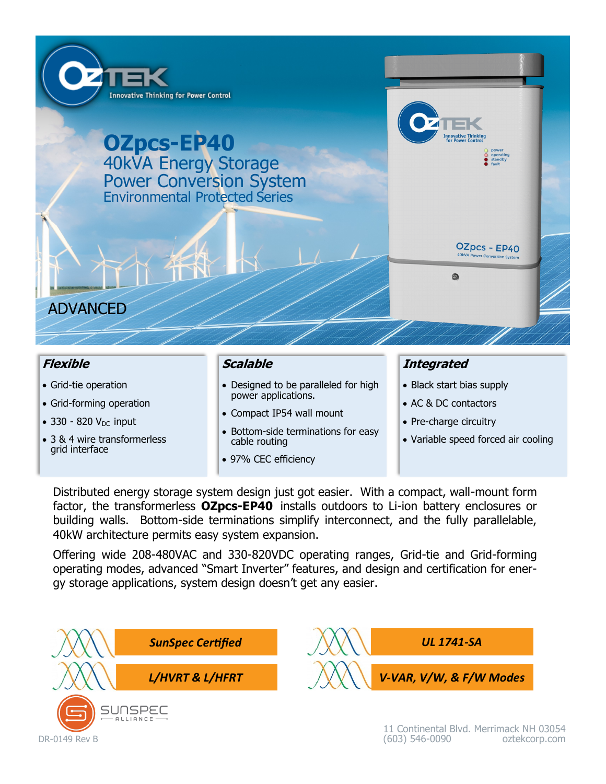

 $\bullet$  330 - 820 V<sub>DC</sub> input

DR-0149 Rev B

- 3 & 4 wire transformerless grid interface
- Compact IP54 wall mount
- Bottom-side terminations for easy cable routing
- 97% CEC efficiency
- 
- Pre-charge circuitry
- Variable speed forced air cooling

Distributed energy storage system design just got easier. With a compact, wall-mount form factor, the transformerless **OZpcs-EP40** installs outdoors to Li-ion battery enclosures or building walls. Bottom-side terminations simplify interconnect, and the fully parallelable, 40kW architecture permits easy system expansion.

Offering wide 208-480VAC and 330-820VDC operating ranges, Grid-tie and Grid-forming operating modes, advanced "Smart Inverter" features, and design and certification for energy storage applications, system design doesn't get any easier.